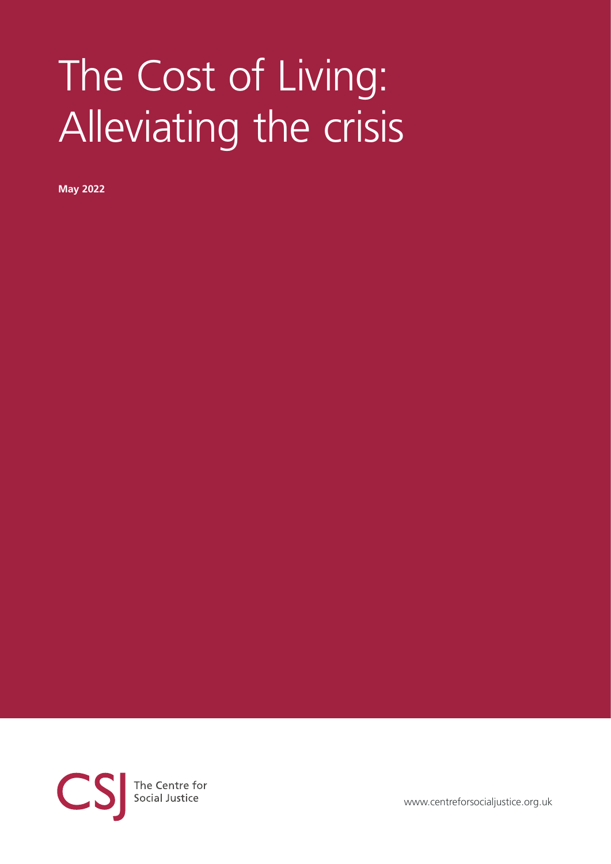# The Cost of Living: Alleviating the crisis

**May 2022**



[www.centreforsocialjustice.org.uk](https://www.centreforsocialjustice.org.uk)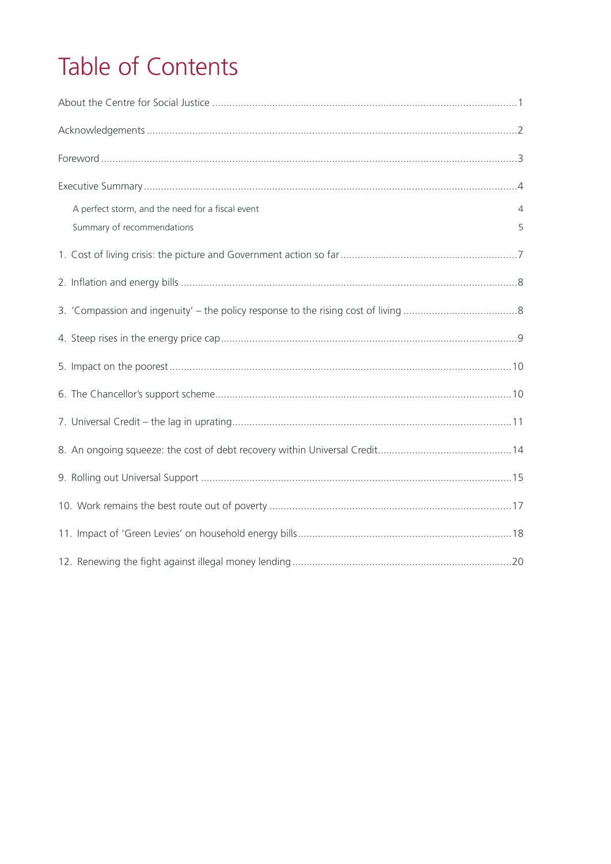## Table of Contents

| A perfect storm, and the need for a fiscal event | 4 |
|--------------------------------------------------|---|
| Summary of recommendations                       | 5 |
|                                                  |   |
|                                                  |   |
|                                                  |   |
|                                                  |   |
|                                                  |   |
|                                                  |   |
|                                                  |   |
|                                                  |   |
|                                                  |   |
|                                                  |   |
|                                                  |   |
|                                                  |   |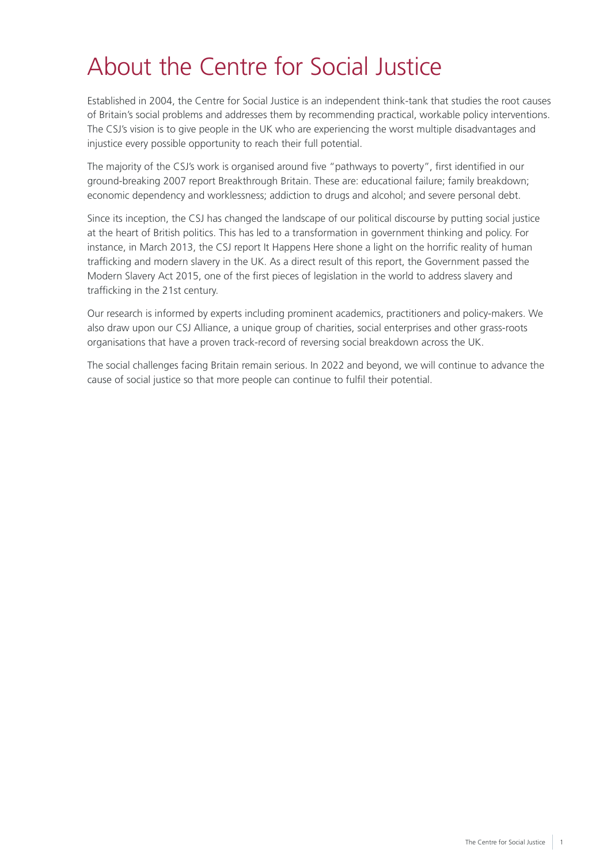## <span id="page-2-0"></span>About the Centre for Social Justice

Established in 2004, the Centre for Social Justice is an independent think-tank that studies the root causes of Britain's social problems and addresses them by recommending practical, workable policy interventions. The CSJ's vision is to give people in the UK who are experiencing the worst multiple disadvantages and injustice every possible opportunity to reach their full potential.

The majority of the CSJ's work is organised around five "pathways to poverty", first identified in our ground-breaking 2007 report Breakthrough Britain. These are: educational failure; family breakdown; economic dependency and worklessness; addiction to drugs and alcohol; and severe personal debt.

Since its inception, the CSJ has changed the landscape of our political discourse by putting social justice at the heart of British politics. This has led to a transformation in government thinking and policy. For instance, in March 2013, the CSJ report It Happens Here shone a light on the horrific reality of human trafficking and modern slavery in the UK. As a direct result of this report, the Government passed the Modern Slavery Act 2015, one of the first pieces of legislation in the world to address slavery and trafficking in the 21st century.

Our research is informed by experts including prominent academics, practitioners and policy-makers. We also draw upon our CSJ Alliance, a unique group of charities, social enterprises and other grass-roots organisations that have a proven track-record of reversing social breakdown across the UK.

The social challenges facing Britain remain serious. In 2022 and beyond, we will continue to advance the cause of social justice so that more people can continue to fulfil their potential.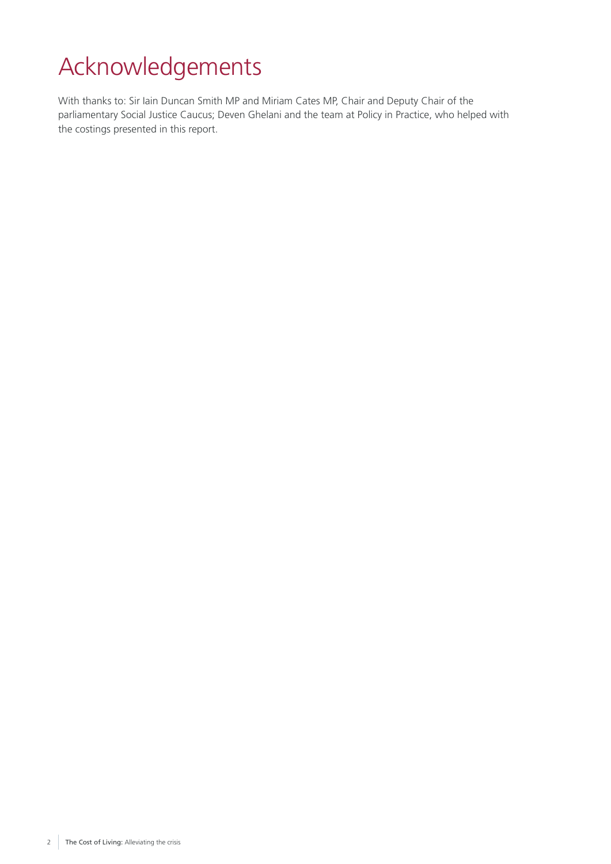## <span id="page-3-0"></span>Acknowledgements

With thanks to: Sir Iain Duncan Smith MP and Miriam Cates MP, Chair and Deputy Chair of the parliamentary Social Justice Caucus; Deven Ghelani and the team at Policy in Practice, who helped with the costings presented in this report.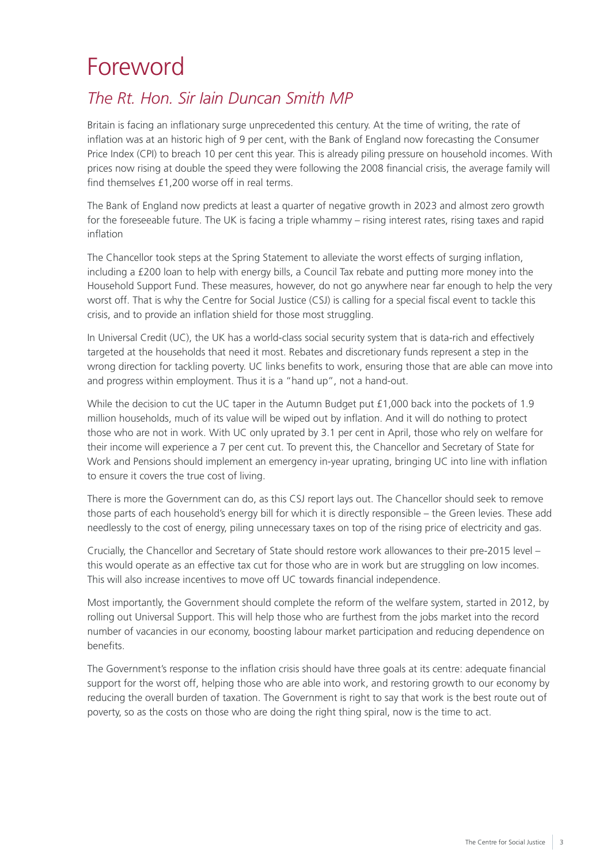## <span id="page-4-0"></span>Foreword

## *The Rt. Hon. Sir Iain Duncan Smith MP*

Britain is facing an inflationary surge unprecedented this century. At the time of writing, the rate of inflation was at an historic high of 9 per cent, with the Bank of England now forecasting the Consumer Price Index (CPI) to breach 10 per cent this year. This is already piling pressure on household incomes. With prices now rising at double the speed they were following the 2008 financial crisis, the average family will find themselves £1,200 worse off in real terms.

The Bank of England now predicts at least a quarter of negative growth in 2023 and almost zero growth for the foreseeable future. The UK is facing a triple whammy – rising interest rates, rising taxes and rapid inflation

The Chancellor took steps at the Spring Statement to alleviate the worst effects of surging inflation, including a £200 loan to help with energy bills, a Council Tax rebate and putting more money into the Household Support Fund. These measures, however, do not go anywhere near far enough to help the very worst off. That is why the Centre for Social Justice (CSJ) is calling for a special fiscal event to tackle this crisis, and to provide an inflation shield for those most struggling.

In Universal Credit (UC), the UK has a world-class social security system that is data-rich and effectively targeted at the households that need it most. Rebates and discretionary funds represent a step in the wrong direction for tackling poverty. UC links benefits to work, ensuring those that are able can move into and progress within employment. Thus it is a "hand up", not a hand-out.

While the decision to cut the UC taper in the Autumn Budget put £1,000 back into the pockets of 1.9 million households, much of its value will be wiped out by inflation. And it will do nothing to protect those who are not in work. With UC only uprated by 3.1 per cent in April, those who rely on welfare for their income will experience a 7 per cent cut. To prevent this, the Chancellor and Secretary of State for Work and Pensions should implement an emergency in-year uprating, bringing UC into line with inflation to ensure it covers the true cost of living.

There is more the Government can do, as this CSJ report lays out. The Chancellor should seek to remove those parts of each household's energy bill for which it is directly responsible – the Green levies. These add needlessly to the cost of energy, piling unnecessary taxes on top of the rising price of electricity and gas.

Crucially, the Chancellor and Secretary of State should restore work allowances to their pre-2015 level – this would operate as an effective tax cut for those who are in work but are struggling on low incomes. This will also increase incentives to move off UC towards financial independence.

Most importantly, the Government should complete the reform of the welfare system, started in 2012, by rolling out Universal Support. This will help those who are furthest from the jobs market into the record number of vacancies in our economy, boosting labour market participation and reducing dependence on benefits.

The Government's response to the inflation crisis should have three goals at its centre: adequate financial support for the worst off, helping those who are able into work, and restoring growth to our economy by reducing the overall burden of taxation. The Government is right to say that work is the best route out of poverty, so as the costs on those who are doing the right thing spiral, now is the time to act.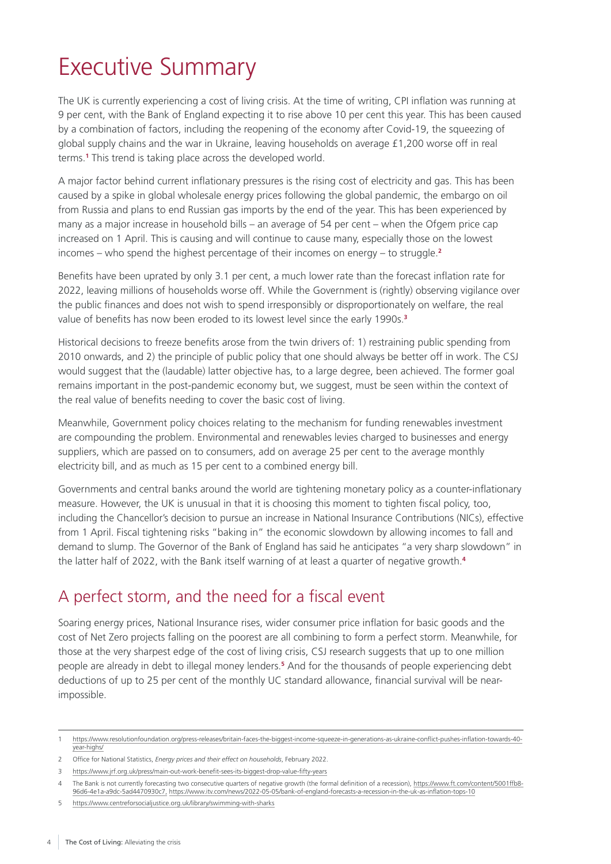## <span id="page-5-0"></span>Executive Summary

The UK is currently experiencing a cost of living crisis. At the time of writing, CPI inflation was running at 9 per cent, with the Bank of England expecting it to rise above 10 per cent this year. This has been caused by a combination of factors, including the reopening of the economy after Covid-19, the squeezing of global supply chains and the war in Ukraine, leaving households on average £1,200 worse off in real terms.**<sup>1</sup>** This trend is taking place across the developed world.

A major factor behind current inflationary pressures is the rising cost of electricity and gas. This has been caused by a spike in global wholesale energy prices following the global pandemic, the embargo on oil from Russia and plans to end Russian gas imports by the end of the year. This has been experienced by many as a major increase in household bills – an average of 54 per cent – when the Ofgem price cap increased on 1 April. This is causing and will continue to cause many, especially those on the lowest incomes – who spend the highest percentage of their incomes on energy – to struggle.**<sup>2</sup>**

Benefits have been uprated by only 3.1 per cent, a much lower rate than the forecast inflation rate for 2022, leaving millions of households worse off. While the Government is (rightly) observing vigilance over the public finances and does not wish to spend irresponsibly or disproportionately on welfare, the real value of benefits has now been eroded to its lowest level since the early 1990s.**<sup>3</sup>**

Historical decisions to freeze benefits arose from the twin drivers of: 1) restraining public spending from 2010 onwards, and 2) the principle of public policy that one should always be better off in work. The CSJ would suggest that the (laudable) latter objective has, to a large degree, been achieved. The former goal remains important in the post-pandemic economy but, we suggest, must be seen within the context of the real value of benefits needing to cover the basic cost of living.

Meanwhile, Government policy choices relating to the mechanism for funding renewables investment are compounding the problem. Environmental and renewables levies charged to businesses and energy suppliers, which are passed on to consumers, add on average 25 per cent to the average monthly electricity bill, and as much as 15 per cent to a combined energy bill.

Governments and central banks around the world are tightening monetary policy as a counter-inflationary measure. However, the UK is unusual in that it is choosing this moment to tighten fiscal policy, too, including the Chancellor's decision to pursue an increase in National Insurance Contributions (NICs), effective from 1 April. Fiscal tightening risks "baking in" the economic slowdown by allowing incomes to fall and demand to slump. The Governor of the Bank of England has said he anticipates "a very sharp slowdown" in the latter half of 2022, with the Bank itself warning of at least a quarter of negative growth.**<sup>4</sup>**

## A perfect storm, and the need for a fiscal event

Soaring energy prices, National Insurance rises, wider consumer price inflation for basic goods and the cost of Net Zero projects falling on the poorest are all combining to form a perfect storm. Meanwhile, for those at the very sharpest edge of the cost of living crisis, CSJ research suggests that up to one million people are already in debt to illegal money lenders.**<sup>5</sup>** And for the thousands of people experiencing debt deductions of up to 25 per cent of the monthly UC standard allowance, financial survival will be nearimpossible.

<sup>1</sup> [https://www.resolutionfoundation.org/press-releases/britain-faces-the-biggest-income-squeeze-in-generations-as-ukraine-conflict-pushes-inflation-towards-40](https://www.resolutionfoundation.org/press-releases/britain-faces-the-biggest-income-squeeze-in-generations-as-ukraine-conflict-pushes-inflation-towards-40-year-highs/) [year-highs/](https://www.resolutionfoundation.org/press-releases/britain-faces-the-biggest-income-squeeze-in-generations-as-ukraine-conflict-pushes-inflation-towards-40-year-highs/)

<sup>2</sup> Office for National Statistics, *[Energy prices and their effect on households](https://www.ons.gov.uk/economy/inflationandpriceindices/articles/energypricesandtheireffectonhouseholds/2022-02-01)*, February 2022.

<sup>3</sup> <https://www.jrf.org.uk/press/main-out-work-benefit-sees-its-biggest-drop-value-fifty-years>

<sup>4</sup> The Bank is not currently forecasting two consecutive quarters of negative growth (the formal definition of a recession), [https://www.ft.com/content/5001ffb8-](https://www.ft.com/content/5001ffb8-96d6-4e1a-a9dc-5ad4470930c7,) [96d6-4e1a-a9dc-5ad4470930c7,](https://www.ft.com/content/5001ffb8-96d6-4e1a-a9dc-5ad4470930c7,) <https://www.itv.com/news/2022-05-05/bank-of-england-forecasts-a-recession-in-the-uk-as-inflation-tops-10>

<sup>5</sup> <https://www.centreforsocialjustice.org.uk/library/swimming-with-sharks>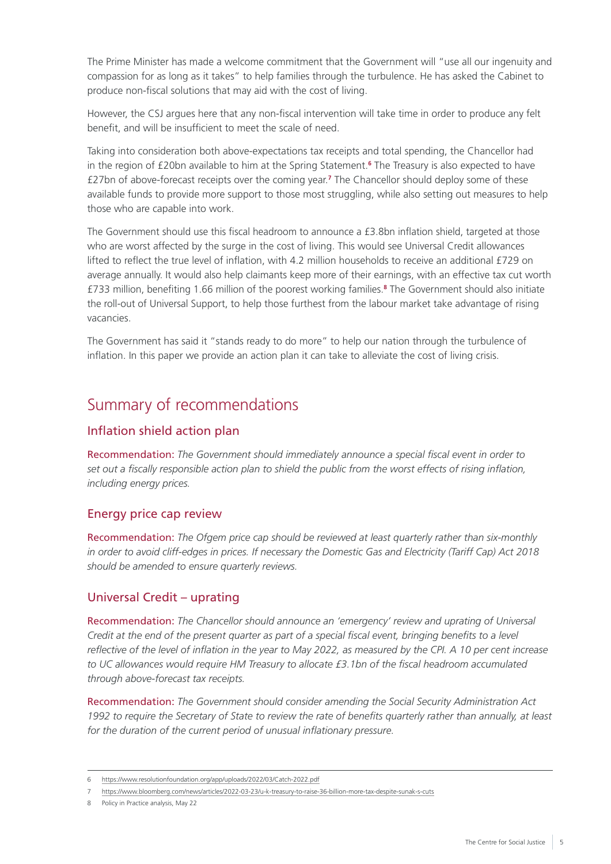<span id="page-6-0"></span>The Prime Minister has made a welcome commitment that the Government will "use all our ingenuity and compassion for as long as it takes" to help families through the turbulence. He has asked the Cabinet to produce non-fiscal solutions that may aid with the cost of living.

However, the CSJ argues here that any non-fiscal intervention will take time in order to produce any felt benefit, and will be insufficient to meet the scale of need.

Taking into consideration both above-expectations tax receipts and total spending, the Chancellor had in the region of £20bn available to him at the Spring Statement.**<sup>6</sup>** The Treasury is also expected to have £27bn of above-forecast receipts over the coming year.**<sup>7</sup>** The Chancellor should deploy some of these available funds to provide more support to those most struggling, while also setting out measures to help those who are capable into work.

The Government should use this fiscal headroom to announce a £3.8bn inflation shield, targeted at those who are worst affected by the surge in the cost of living. This would see Universal Credit allowances lifted to reflect the true level of inflation, with 4.2 million households to receive an additional £729 on average annually. It would also help claimants keep more of their earnings, with an effective tax cut worth £733 million, benefiting 1.66 million of the poorest working families.**<sup>8</sup>** The Government should also initiate the roll-out of Universal Support, to help those furthest from the labour market take advantage of rising vacancies.

The Government has said it "stands ready to do more" to help our nation through the turbulence of inflation. In this paper we provide an action plan it can take to alleviate the cost of living crisis.

### Summary of recommendations

#### Inflation shield action plan

Recommendation: *The Government should immediately announce a special fiscal event in order to set out a fiscally responsible action plan to shield the public from the worst effects of rising inflation, including energy prices.*

#### Energy price cap review

Recommendation: *The Ofgem price cap should be reviewed at least quarterly rather than six-monthly in order to avoid cliff-edges in prices. If necessary the Domestic Gas and Electricity (Tariff Cap) Act 2018 should be amended to ensure quarterly reviews.*

#### Universal Credit – uprating

Recommendation: *The Chancellor should announce an 'emergency' review and uprating of Universal Credit at the end of the present quarter as part of a special fiscal event, bringing benefits to a level reflective of the level of inflation in the year to May 2022, as measured by the CPI. A 10 per cent increase*  to UC allowances would require HM Treasury to allocate £3.1bn of the fiscal headroom accumulated *through above-forecast tax receipts.*

Recommendation: *The Government should consider amending the Social Security Administration Act*  1992 to require the Secretary of State to review the rate of benefits quarterly rather than annually, at least *for the duration of the current period of unusual inflationary pressure.*

<sup>6</sup> <https://www.resolutionfoundation.org/app/uploads/2022/03/Catch-2022.pdf>

<sup>7</sup> <https://www.bloomberg.com/news/articles/2022-03-23/u-k-treasury-to-raise-36-billion-more-tax-despite-sunak-s-cuts>

<sup>8</sup> Policy in Practice analysis, May 22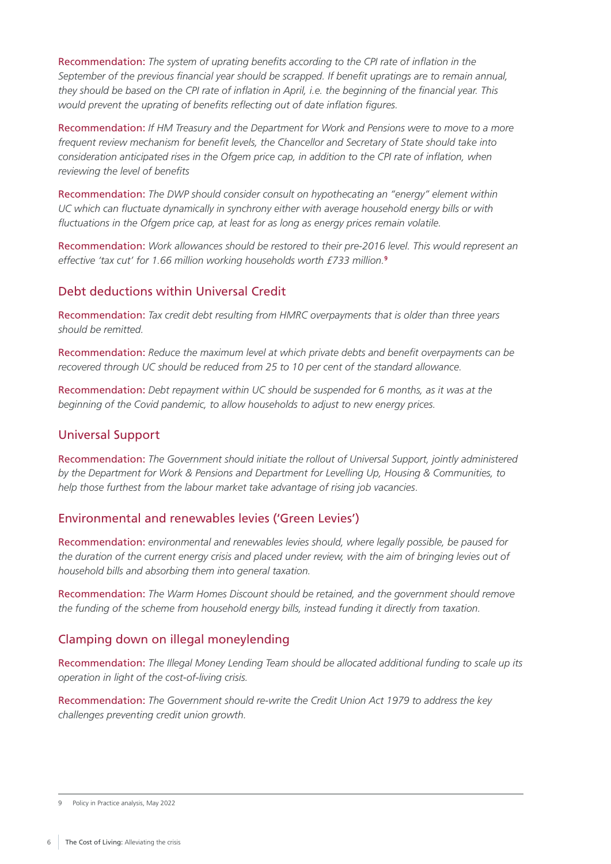Recommendation: *The system of uprating benefits according to the CPI rate of inflation in the September of the previous financial year should be scrapped. If benefit upratings are to remain annual, they should be based on the CPI rate of inflation in April, i.e. the beginning of the financial year. This would prevent the uprating of benefits reflecting out of date inflation figures.*

Recommendation: *If HM Treasury and the Department for Work and Pensions were to move to a more frequent review mechanism for benefit levels, the Chancellor and Secretary of State should take into consideration anticipated rises in the Ofgem price cap, in addition to the CPI rate of inflation, when reviewing the level of benefits*

Recommendation: *The DWP should consider consult on hypothecating an "energy" element within UC which can fluctuate dynamically in synchrony either with average household energy bills or with fluctuations in the Ofgem price cap, at least for as long as energy prices remain volatile.*

Recommendation: *Work allowances should be restored to their pre-2016 level. This would represent an effective 'tax cut' for 1.66 million working households worth £733 million.***<sup>9</sup>**

#### Debt deductions within Universal Credit

Recommendation: *Tax credit debt resulting from HMRC overpayments that is older than three years should be remitted.*

Recommendation: *Reduce the maximum level at which private debts and benefit overpayments can be recovered through UC should be reduced from 25 to 10 per cent of the standard allowance.*

Recommendation: *Debt repayment within UC should be suspended for 6 months, as it was at the beginning of the Covid pandemic, to allow households to adjust to new energy prices.*

#### Universal Support

Recommendation: *The Government should initiate the rollout of Universal Support, jointly administered by the Department for Work & Pensions and Department for Levelling Up, Housing & Communities, to help those furthest from the labour market take advantage of rising job vacancies*.

#### Environmental and renewables levies ('Green Levies')

Recommendation: *environmental and renewables levies should, where legally possible, be paused for the duration of the current energy crisis and placed under review, with the aim of bringing levies out of household bills and absorbing them into general taxation.*

Recommendation: *The Warm Homes Discount should be retained, and the government should remove the funding of the scheme from household energy bills, instead funding it directly from taxation.*

#### Clamping down on illegal moneylending

Recommendation: *The Illegal Money Lending Team should be allocated additional funding to scale up its operation in light of the cost-of-living crisis.*

Recommendation: *The Government should re-write the Credit Union Act 1979 to address the key challenges preventing credit union growth.*

<sup>9</sup> Policy in Practice analysis, May 2022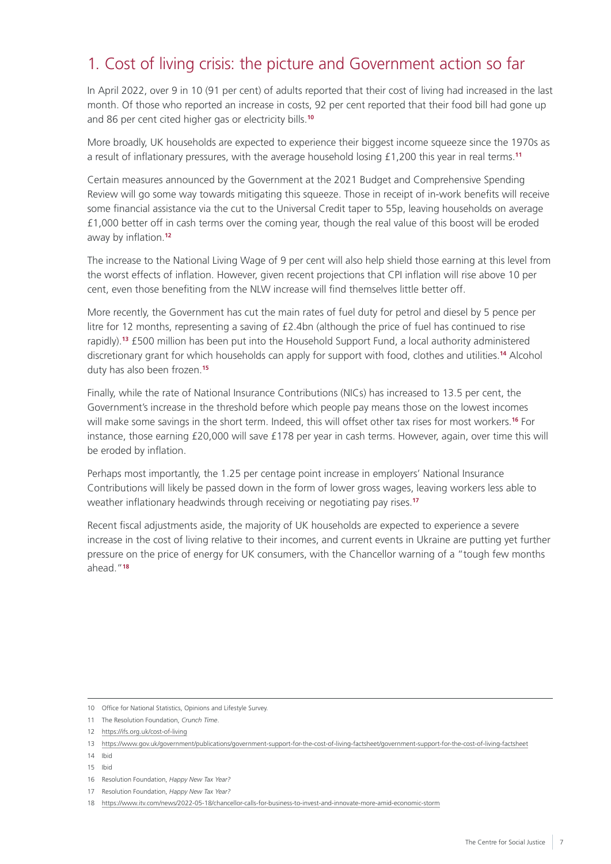## <span id="page-8-0"></span>1. Cost of living crisis: the picture and Government action so far

In April 2022, over 9 in 10 (91 per cent) of adults reported that their cost of living had increased in the last month. Of those who reported an increase in costs, 92 per cent reported that their food bill had gone up and 86 per cent cited higher gas or electricity bills.**<sup>10</sup>**

More broadly, UK households are expected to experience their biggest income squeeze since the 1970s as a result of inflationary pressures, with the average household losing £1,200 this year in real terms.**<sup>11</sup>**

Certain measures announced by the Government at the 2021 Budget and Comprehensive Spending Review will go some way towards mitigating this squeeze. Those in receipt of in-work benefits will receive some financial assistance via the cut to the Universal Credit taper to 55p, leaving households on average £1,000 better off in cash terms over the coming year, though the real value of this boost will be eroded away by inflation.**<sup>12</sup>**

The increase to the National Living Wage of 9 per cent will also help shield those earning at this level from the worst effects of inflation. However, given recent projections that CPI inflation will rise above 10 per cent, even those benefiting from the NLW increase will find themselves little better off.

More recently, the Government has cut the main rates of fuel duty for petrol and diesel by 5 pence per litre for 12 months, representing a saving of £2.4bn (although the price of fuel has continued to rise rapidly).**<sup>13</sup>** £500 million has been put into the Household Support Fund, a local authority administered discretionary grant for which households can apply for support with food, clothes and utilities.**<sup>14</sup>** Alcohol duty has also been frozen.**<sup>15</sup>**

Finally, while the rate of National Insurance Contributions (NICs) has increased to 13.5 per cent, the Government's increase in the threshold before which people pay means those on the lowest incomes will make some savings in the short term. Indeed, this will offset other tax rises for most workers.**<sup>16</sup>** For instance, those earning £20,000 will save £178 per year in cash terms. However, again, over time this will be eroded by inflation.

Perhaps most importantly, the 1.25 per centage point increase in employers' National Insurance Contributions will likely be passed down in the form of lower gross wages, leaving workers less able to weather inflationary headwinds through receiving or negotiating pay rises.**<sup>17</sup>**

Recent fiscal adjustments aside, the majority of UK households are expected to experience a severe increase in the cost of living relative to their incomes, and current events in Ukraine are putting yet further pressure on the price of energy for UK consumers, with the Chancellor warning of a "tough few months ahead."**18**

- 16 Resolution Foundation, *[Happy New Tax Year?](https://www.resolutionfoundation.org/app/uploads/2022/04/Happy-new-tax-year.pdf)*
- 17 Resolution Foundation, *[Happy New Tax Year?](https://www.resolutionfoundation.org/app/uploads/2022/04/Happy-new-tax-year.pdf)*

<sup>10</sup> Office for National Statistics, Opinions and Lifestyle Survey.

<sup>11</sup> The Resolution Foundation, *[Crunch Time](https://www.resolutionfoundation.org/app/uploads/2022/05/Crunch-time.pdf)*.

<sup>12</sup> <https://ifs.org.uk/cost-of-living>

<sup>13</sup> <https://www.gov.uk/government/publications/government-support-for-the-cost-of-living-factsheet/government-support-for-the-cost-of-living-factsheet>

<sup>14</sup> Ibid

<sup>15</sup> Ibid

<sup>18</sup> <https://www.itv.com/news/2022-05-18/chancellor-calls-for-business-to-invest-and-innovate-more-amid-economic-storm>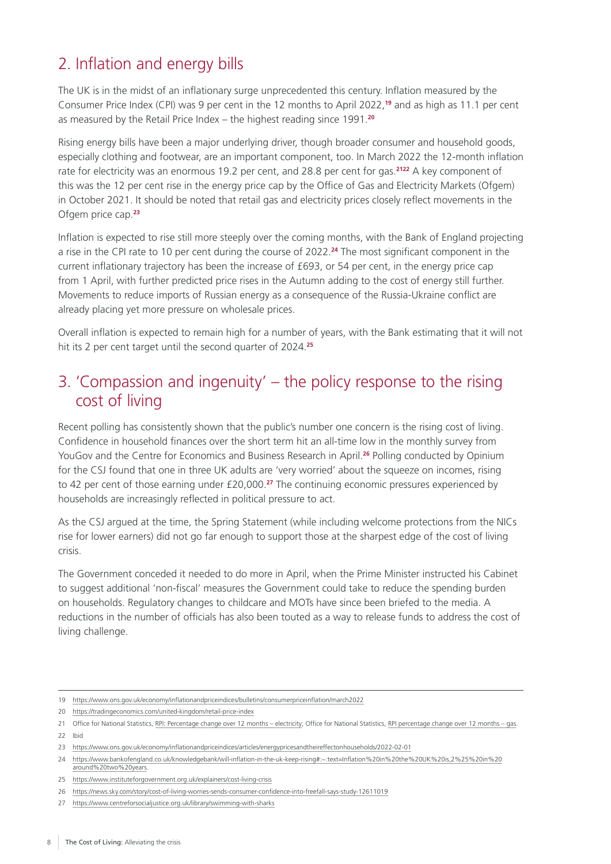## <span id="page-9-0"></span>2. Inflation and energy bills

The UK is in the midst of an inflationary surge unprecedented this century. Inflation measured by the Consumer Price Index (CPI) was 9 per cent in the 12 months to April 2022,**<sup>19</sup>** and as high as 11.1 per cent as measured by the Retail Price Index – the highest reading since 1991.**<sup>20</sup>**

Rising energy bills have been a major underlying driver, though broader consumer and household goods, especially clothing and footwear, are an important component, too. In March 2022 the 12-month inflation rate for electricity was an enormous 19.2 per cent, and 28.8 per cent for gas.**<sup>2122</sup>** A key component of this was the 12 per cent rise in the energy price cap by the Office of Gas and Electricity Markets (Ofgem) in October 2021. It should be noted that retail gas and electricity prices closely reflect movements in the Ofgem price cap.**<sup>23</sup>**

Inflation is expected to rise still more steeply over the coming months, with the Bank of England projecting a rise in the CPI rate to 10 per cent during the course of 2022.**<sup>24</sup>** The most significant component in the current inflationary trajectory has been the increase of £693, or 54 per cent, in the energy price cap from 1 April, with further predicted price rises in the Autumn adding to the cost of energy still further. Movements to reduce imports of Russian energy as a consequence of the Russia-Ukraine conflict are already placing yet more pressure on wholesale prices.

Overall inflation is expected to remain high for a number of years, with the Bank estimating that it will not hit its 2 per cent target until the second quarter of 2024.**<sup>25</sup>**

### 3. 'Compassion and ingenuity' – the policy response to the rising cost of living

Recent polling has consistently shown that the public's number one concern is the rising cost of living. Confidence in household finances over the short term hit an all-time low in the monthly survey from YouGov and the Centre for Economics and Business Research in April.**<sup>26</sup>** Polling conducted by Opinium for the CSJ found that one in three UK adults are 'very worried' about the squeeze on incomes, rising to 42 per cent of those earning under £20,000.**<sup>27</sup>** The continuing economic pressures experienced by households are increasingly reflected in political pressure to act.

As the CSJ argued at the time, the Spring Statement (while including welcome protections from the NICs rise for lower earners) did not go far enough to support those at the sharpest edge of the cost of living crisis.

The Government conceded it needed to do more in April, when the Prime Minister instructed his Cabinet to suggest additional 'non-fiscal' measures the Government could take to reduce the spending burden on households. Regulatory changes to childcare and MOTs have since been briefed to the media. A reductions in the number of officials has also been touted as a way to release funds to address the cost of living challenge.

<sup>19</sup> <https://www.ons.gov.uk/economy/inflationandpriceindices/bulletins/consumerpriceinflation/march2022>

<sup>20</sup> <https://tradingeconomics.com/united-kingdom/retail-price-index>

<sup>21</sup> Office for National Statistics, RPI: Percentage change over 12 months - electricity; Office for National Statistics, RPI percentage change over 12 months - gas. 22 Ibid

<sup>23</sup> <https://www.ons.gov.uk/economy/inflationandpriceindices/articles/energypricesandtheireffectonhouseholds/2022-02-01>

<sup>24</sup> https://www.bankofengland.co.uk/knowledgebank/will-inflation-in-the-uk-keep-rising#:~:text=Inflation%20in%20the%20UK%20is,2%25%20in%20 around%20two%20years.

<sup>25</sup> <https://www.instituteforgovernment.org.uk/explainers/cost-living-crisis>

<sup>26</sup> <https://news.sky.com/story/cost-of-living-worries-sends-consumer-confidence-into-freefall-says-study-12611019>

<sup>27</sup> <https://www.centreforsocialjustice.org.uk/library/swimming-with-sharks>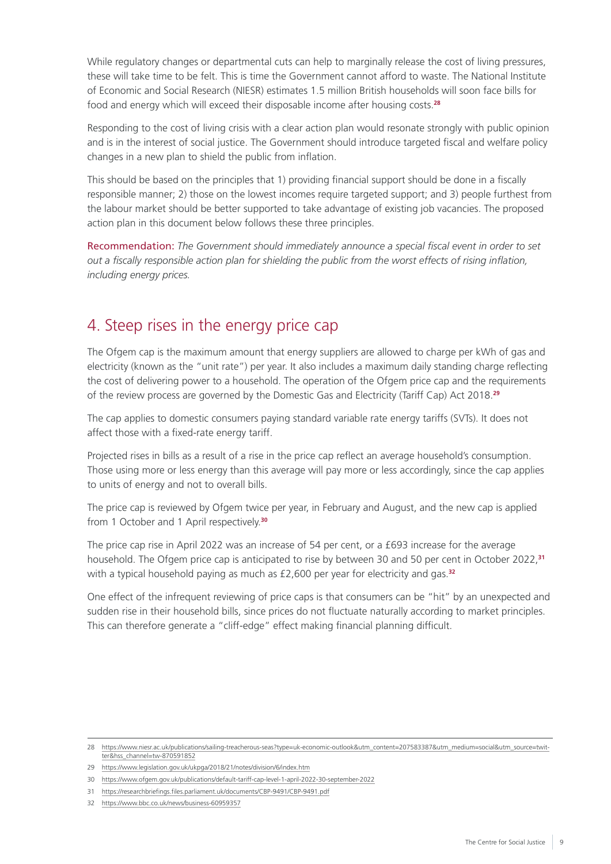<span id="page-10-0"></span>While regulatory changes or departmental cuts can help to marginally release the cost of living pressures, these will take time to be felt. This is time the Government cannot afford to waste. The National Institute of Economic and Social Research (NIESR) estimates 1.5 million British households will soon face bills for food and energy which will exceed their disposable income after housing costs.**<sup>28</sup>**

Responding to the cost of living crisis with a clear action plan would resonate strongly with public opinion and is in the interest of social justice. The Government should introduce targeted fiscal and welfare policy changes in a new plan to shield the public from inflation.

This should be based on the principles that 1) providing financial support should be done in a fiscally responsible manner; 2) those on the lowest incomes require targeted support; and 3) people furthest from the labour market should be better supported to take advantage of existing job vacancies. The proposed action plan in this document below follows these three principles.

Recommendation: *The Government should immediately announce a special fiscal event in order to set out a fiscally responsible action plan for shielding the public from the worst effects of rising inflation, including energy prices.*

## 4. Steep rises in the energy price cap

The Ofgem cap is the maximum amount that energy suppliers are allowed to charge per kWh of gas and electricity (known as the "unit rate") per year. It also includes a maximum daily standing charge reflecting the cost of delivering power to a household. The operation of the Ofgem price cap and the requirements of the review process are governed by the Domestic Gas and Electricity (Tariff Cap) Act 2018.**<sup>29</sup>**

The cap applies to domestic consumers paying standard variable rate energy tariffs (SVTs). It does not affect those with a fixed-rate energy tariff.

Projected rises in bills as a result of a rise in the price cap reflect an average household's consumption. Those using more or less energy than this average will pay more or less accordingly, since the cap applies to units of energy and not to overall bills.

The price cap is reviewed by Ofgem twice per year, in February and August, and the new cap is applied from 1 October and 1 April respectively.**<sup>30</sup>**

The price cap rise in April 2022 was an increase of 54 per cent, or a £693 increase for the average household. The Ofgem price cap is anticipated to rise by between 30 and 50 per cent in October 2022,**<sup>31</sup>** with a typical household paying as much as £2,600 per year for electricity and gas.**<sup>32</sup>**

One effect of the infrequent reviewing of price caps is that consumers can be "hit" by an unexpected and sudden rise in their household bills, since prices do not fluctuate naturally according to market principles. This can therefore generate a "cliff-edge" effect making financial planning difficult.

<sup>28</sup> [https://www.niesr.ac.uk/publications/sailing-treacherous-seas?type=uk-economic-outlook&utm\\_content=207583387&utm\\_medium=social&utm\\_source=twit](https://www.niesr.ac.uk/publications/sailing-treacherous-seas?type=uk-economic-outlook&utm_content=207583387&utm_medium=social&utm_source=twitter&hss_channel=tw-870591852)[ter&hss\\_channel=tw-870591852](https://www.niesr.ac.uk/publications/sailing-treacherous-seas?type=uk-economic-outlook&utm_content=207583387&utm_medium=social&utm_source=twitter&hss_channel=tw-870591852)

<sup>29</sup> <https://www.legislation.gov.uk/ukpga/2018/21/notes/division/6/index.htm>

<sup>30</sup> <https://www.ofgem.gov.uk/publications/default-tariff-cap-level-1-april-2022-30-september-2022>

<sup>31</sup> <https://researchbriefings.files.parliament.uk/documents/CBP-9491/CBP-9491.pdf>

<sup>32</sup> <https://www.bbc.co.uk/news/business-60959357>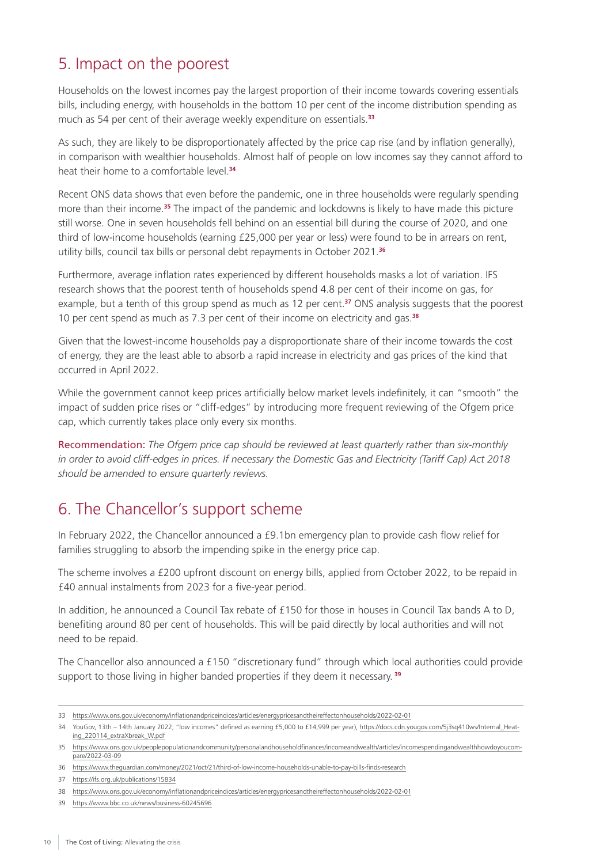### <span id="page-11-0"></span>5. Impact on the poorest

Households on the lowest incomes pay the largest proportion of their income towards covering essentials bills, including energy, with households in the bottom 10 per cent of the income distribution spending as much as 54 per cent of their average weekly expenditure on essentials.**<sup>33</sup>**

As such, they are likely to be disproportionately affected by the price cap rise (and by inflation generally), in comparison with wealthier households. Almost half of people on low incomes say they cannot afford to heat their home to a comfortable level.**<sup>34</sup>**

Recent ONS data shows that even before the pandemic, one in three households were regularly spending more than their income.**<sup>35</sup>** The impact of the pandemic and lockdowns is likely to have made this picture still worse. One in seven households fell behind on an essential bill during the course of 2020, and one third of low-income households (earning £25,000 per year or less) were found to be in arrears on rent, utility bills, council tax bills or personal debt repayments in October 2021.**<sup>36</sup>**

Furthermore, average inflation rates experienced by different households masks a lot of variation. IFS research shows that the poorest tenth of households spend 4.8 per cent of their income on gas, for example, but a tenth of this group spend as much as 12 per cent.**<sup>37</sup>** ONS analysis suggests that the poorest 10 per cent spend as much as 7.3 per cent of their income on electricity and gas.**<sup>38</sup>**

Given that the lowest-income households pay a disproportionate share of their income towards the cost of energy, they are the least able to absorb a rapid increase in electricity and gas prices of the kind that occurred in April 2022.

While the government cannot keep prices artificially below market levels indefinitely, it can "smooth" the impact of sudden price rises or "cliff-edges" by introducing more frequent reviewing of the Ofgem price cap, which currently takes place only every six months.

Recommendation: *The Ofgem price cap should be reviewed at least quarterly rather than six-monthly in order to avoid cliff-edges in prices. If necessary the Domestic Gas and Electricity (Tariff Cap) Act 2018 should be amended to ensure quarterly reviews.*

## 6. The Chancellor's support scheme

In February 2022, the Chancellor announced a £9.1bn emergency plan to provide cash flow relief for families struggling to absorb the impending spike in the energy price cap.

The scheme involves a £200 upfront discount on energy bills, applied from October 2022, to be repaid in £40 annual instalments from 2023 for a five-year period.

In addition, he announced a Council Tax rebate of £150 for those in houses in Council Tax bands A to D, benefiting around 80 per cent of households. This will be paid directly by local authorities and will not need to be repaid.

The Chancellor also announced a £150 "discretionary fund" through which local authorities could provide support to those living in higher banded properties if they deem it necessary. **39**

<sup>33</sup> <https://www.ons.gov.uk/economy/inflationandpriceindices/articles/energypricesandtheireffectonhouseholds/2022-02-01>

<sup>34</sup> YouGov, 13th – 14th January 2022; "low incomes" defined as earning £5,000 to £14,999 per year), [https://docs.cdn.yougov.com/5j3sq410ws/Internal\\_Heat](https://docs.cdn.yougov.com/5j3sq410ws/Internal_Heating_220114_extraXbreak_W.pdf)[ing\\_220114\\_extraXbreak\\_W.pdf](https://docs.cdn.yougov.com/5j3sq410ws/Internal_Heating_220114_extraXbreak_W.pdf)

<sup>35</sup> [https://www.ons.gov.uk/peoplepopulationandcommunity/personalandhouseholdfinances/incomeandwealth/articles/incomespendingandwealthhowdoyoucom](https://www.ons.gov.uk/peoplepopulationandcommunity/personalandhouseholdfinances/incomeandwealth/articles/incomespendingandwealthhowdoyoucompare/2022-03-09)[pare/2022-03-09](https://www.ons.gov.uk/peoplepopulationandcommunity/personalandhouseholdfinances/incomeandwealth/articles/incomespendingandwealthhowdoyoucompare/2022-03-09)

<sup>36</sup> <https://www.theguardian.com/money/2021/oct/21/third-of-low-income-households-unable-to-pay-bills-finds-research>

<sup>37</sup> <https://ifs.org.uk/publications/15834>

<sup>38</sup> <https://www.ons.gov.uk/economy/inflationandpriceindices/articles/energypricesandtheireffectonhouseholds/2022-02-01>

<sup>39</sup> <https://www.bbc.co.uk/news/business-60245696>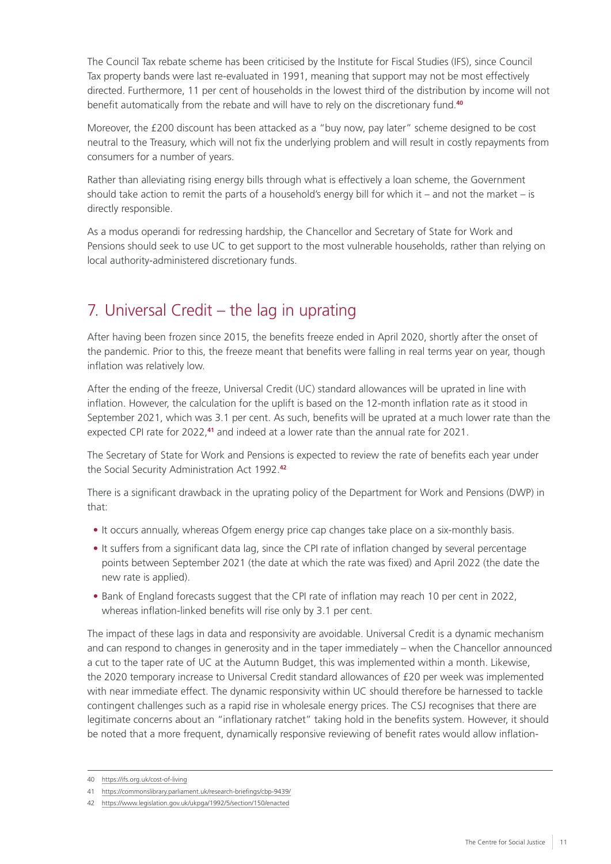<span id="page-12-0"></span>The Council Tax rebate scheme has been criticised by the Institute for Fiscal Studies (IFS), since Council Tax property bands were last re-evaluated in 1991, meaning that support may not be most effectively directed. Furthermore, 11 per cent of households in the lowest third of the distribution by income will not benefit automatically from the rebate and will have to rely on the discretionary fund.**<sup>40</sup>**

Moreover, the £200 discount has been attacked as a "buy now, pay later" scheme designed to be cost neutral to the Treasury, which will not fix the underlying problem and will result in costly repayments from consumers for a number of years.

Rather than alleviating rising energy bills through what is effectively a loan scheme, the Government should take action to remit the parts of a household's energy bill for which it – and not the market – is directly responsible.

As a modus operandi for redressing hardship, the Chancellor and Secretary of State for Work and Pensions should seek to use UC to get support to the most vulnerable households, rather than relying on local authority-administered discretionary funds.

## 7. Universal Credit – the lag in uprating

After having been frozen since 2015, the benefits freeze ended in April 2020, shortly after the onset of the pandemic. Prior to this, the freeze meant that benefits were falling in real terms year on year, though inflation was relatively low.

After the ending of the freeze, Universal Credit (UC) standard allowances will be uprated in line with inflation. However, the calculation for the uplift is based on the 12-month inflation rate as it stood in September 2021, which was 3.1 per cent. As such, benefits will be uprated at a much lower rate than the expected CPI rate for 2022,**<sup>41</sup>** and indeed at a lower rate than the annual rate for 2021.

The Secretary of State for Work and Pensions is expected to review the rate of benefits each year under the Social Security Administration Act 1992.**<sup>42</sup>**

There is a significant drawback in the uprating policy of the Department for Work and Pensions (DWP) in that:

- It occurs annually, whereas Ofgem energy price cap changes take place on a six-monthly basis.
- It suffers from a significant data lag, since the CPI rate of inflation changed by several percentage points between September 2021 (the date at which the rate was fixed) and April 2022 (the date the new rate is applied).
- Bank of England forecasts suggest that the CPI rate of inflation may reach 10 per cent in 2022, whereas inflation-linked benefits will rise only by 3.1 per cent.

The impact of these lags in data and responsivity are avoidable. Universal Credit is a dynamic mechanism and can respond to changes in generosity and in the taper immediately – when the Chancellor announced a cut to the taper rate of UC at the Autumn Budget, this was implemented within a month. Likewise, the 2020 temporary increase to Universal Credit standard allowances of £20 per week was implemented with near immediate effect. The dynamic responsivity within UC should therefore be harnessed to tackle contingent challenges such as a rapid rise in wholesale energy prices. The CSJ recognises that there are legitimate concerns about an "inflationary ratchet" taking hold in the benefits system. However, it should be noted that a more frequent, dynamically responsive reviewing of benefit rates would allow inflation-

<sup>40</sup> <https://ifs.org.uk/cost-of-living>

<sup>41</sup> <https://commonslibrary.parliament.uk/research-briefings/cbp-9439/>

<sup>42</sup> <https://www.legislation.gov.uk/ukpga/1992/5/section/150/enacted>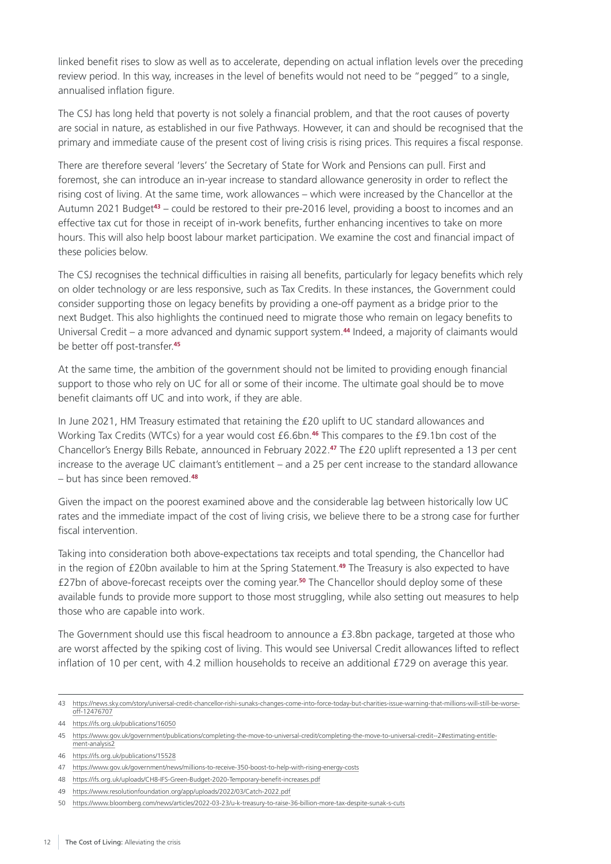linked benefit rises to slow as well as to accelerate, depending on actual inflation levels over the preceding review period. In this way, increases in the level of benefits would not need to be "pegged" to a single, annualised inflation figure.

The CSJ has long held that poverty is not solely a financial problem, and that the root causes of poverty are social in nature, as established in our five Pathways. However, it can and should be recognised that the primary and immediate cause of the present cost of living crisis is rising prices. This requires a fiscal response.

There are therefore several 'levers' the Secretary of State for Work and Pensions can pull. First and foremost, she can introduce an in-year increase to standard allowance generosity in order to reflect the rising cost of living. At the same time, work allowances – which were increased by the Chancellor at the Autumn 2021 Budget**<sup>43</sup>** – could be restored to their pre-2016 level, providing a boost to incomes and an effective tax cut for those in receipt of in-work benefits, further enhancing incentives to take on more hours. This will also help boost labour market participation. We examine the cost and financial impact of these policies below.

The CSJ recognises the technical difficulties in raising all benefits, particularly for legacy benefits which rely on older technology or are less responsive, such as Tax Credits. In these instances, the Government could consider supporting those on legacy benefits by providing a one-off payment as a bridge prior to the next Budget. This also highlights the continued need to migrate those who remain on legacy benefits to Universal Credit – a more advanced and dynamic support system.**<sup>44</sup>** Indeed, a majority of claimants would be better off post-transfer.**<sup>45</sup>**

At the same time, the ambition of the government should not be limited to providing enough financial support to those who rely on UC for all or some of their income. The ultimate goal should be to move benefit claimants off UC and into work, if they are able.

In June 2021, HM Treasury estimated that retaining the £20 uplift to UC standard allowances and Working Tax Credits (WTCs) for a year would cost £6.6bn.**<sup>46</sup>** This compares to the £9.1bn cost of the Chancellor's Energy Bills Rebate, announced in February 2022.**<sup>47</sup>** The £20 uplift represented a 13 per cent increase to the average UC claimant's entitlement – and a 25 per cent increase to the standard allowance – but has since been removed.**<sup>48</sup>**

Given the impact on the poorest examined above and the considerable lag between historically low UC rates and the immediate impact of the cost of living crisis, we believe there to be a strong case for further fiscal intervention.

Taking into consideration both above-expectations tax receipts and total spending, the Chancellor had in the region of £20bn available to him at the Spring Statement.**<sup>49</sup>** The Treasury is also expected to have £27bn of above-forecast receipts over the coming year.**<sup>50</sup>** The Chancellor should deploy some of these available funds to provide more support to those most struggling, while also setting out measures to help those who are capable into work.

The Government should use this fiscal headroom to announce a £3.8bn package, targeted at those who are worst affected by the spiking cost of living. This would see Universal Credit allowances lifted to reflect inflation of 10 per cent, with 4.2 million households to receive an additional £729 on average this year.

<sup>43</sup> [https://news.sky.com/story/universal-credit-chancellor-rishi-sunaks-changes-come-into-force-today-but-charities-issue-warning-that-millions-will-still-be-worse](https://news.sky.com/story/universal-credit-chancellor-rishi-sunaks-changes-come-into-force-today-but-charities-issue-warning-that-millions-will-still-be-worse-off-12476707)[off-12476707](https://news.sky.com/story/universal-credit-chancellor-rishi-sunaks-changes-come-into-force-today-but-charities-issue-warning-that-millions-will-still-be-worse-off-12476707)

<sup>44</sup> <https://ifs.org.uk/publications/16050>

<sup>45</sup> [https://www.gov.uk/government/publications/completing-the-move-to-universal-credit/completing-the-move-to-universal-credit--2#estimating-entitle](https://www.gov.uk/government/publications/completing-the-move-to-universal-credit/completing-the-move-to-universal-credit--2#estimating-entitlement-analysis2)[ment-analysis2](https://www.gov.uk/government/publications/completing-the-move-to-universal-credit/completing-the-move-to-universal-credit--2#estimating-entitlement-analysis2)

<sup>46</sup> <https://ifs.org.uk/publications/15528>

<sup>47</sup> <https://www.gov.uk/government/news/millions-to-receive-350-boost-to-help-with-rising-energy-costs>

<sup>48</sup> <https://ifs.org.uk/uploads/CH8-IFS-Green-Budget-2020-Temporary-benefit-increases.pdf>

<sup>49</sup> <https://www.resolutionfoundation.org/app/uploads/2022/03/Catch-2022.pdf>

<sup>50</sup> <https://www.bloomberg.com/news/articles/2022-03-23/u-k-treasury-to-raise-36-billion-more-tax-despite-sunak-s-cuts>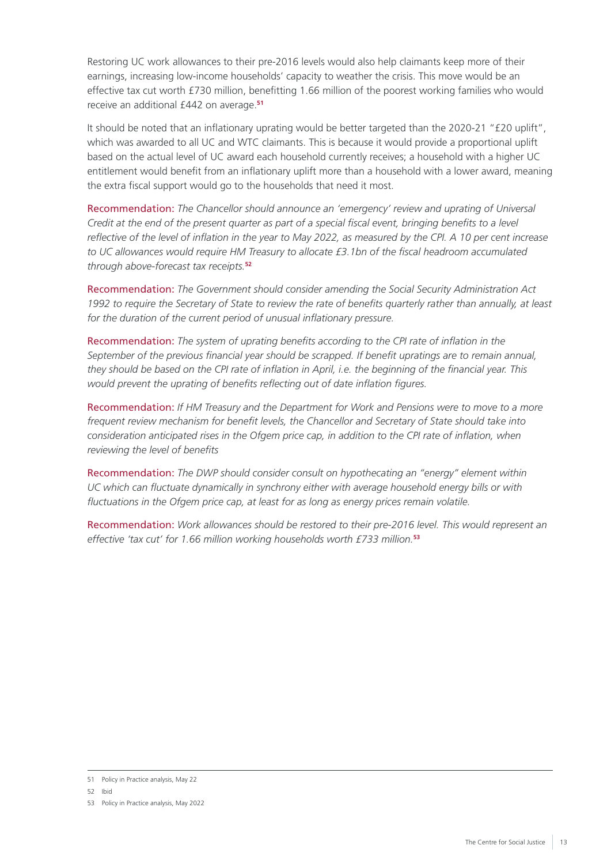Restoring UC work allowances to their pre-2016 levels would also help claimants keep more of their earnings, increasing low-income households' capacity to weather the crisis. This move would be an effective tax cut worth £730 million, benefitting 1.66 million of the poorest working families who would receive an additional £442 on average.**<sup>51</sup>**

It should be noted that an inflationary uprating would be better targeted than the 2020-21 "£20 uplift", which was awarded to all UC and WTC claimants. This is because it would provide a proportional uplift based on the actual level of UC award each household currently receives; a household with a higher UC entitlement would benefit from an inflationary uplift more than a household with a lower award, meaning the extra fiscal support would go to the households that need it most.

Recommendation: *The Chancellor should announce an 'emergency' review and uprating of Universal Credit at the end of the present quarter as part of a special fiscal event, bringing benefits to a level reflective of the level of inflation in the year to May 2022, as measured by the CPI. A 10 per cent increase to UC allowances would require HM Treasury to allocate £3.1bn of the fiscal headroom accumulated through above-forecast tax receipts.***<sup>52</sup>**

Recommendation: *The Government should consider amending the Social Security Administration Act*  1992 to require the Secretary of State to review the rate of benefits quarterly rather than annually, at least *for the duration of the current period of unusual inflationary pressure.*

Recommendation: *The system of uprating benefits according to the CPI rate of inflation in the September of the previous financial year should be scrapped. If benefit upratings are to remain annual, they should be based on the CPI rate of inflation in April, i.e. the beginning of the financial year. This would prevent the uprating of benefits reflecting out of date inflation figures.*

Recommendation: *If HM Treasury and the Department for Work and Pensions were to move to a more frequent review mechanism for benefit levels, the Chancellor and Secretary of State should take into consideration anticipated rises in the Ofgem price cap, in addition to the CPI rate of inflation, when reviewing the level of benefits*

Recommendation: *The DWP should consider consult on hypothecating an "energy" element within UC which can fluctuate dynamically in synchrony either with average household energy bills or with fluctuations in the Ofgem price cap, at least for as long as energy prices remain volatile.*

Recommendation: *Work allowances should be restored to their pre-2016 level. This would represent an effective 'tax cut' for 1.66 million working households worth £733 million.***<sup>53</sup>**

<sup>51</sup> Policy in Practice analysis, May 22

<sup>52</sup> Ibid

<sup>53</sup> Policy in Practice analysis, May 2022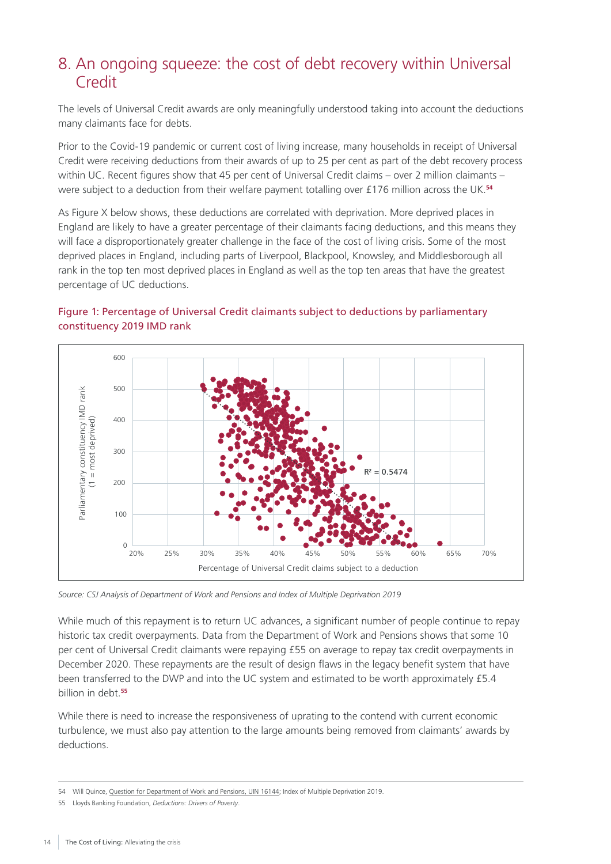### <span id="page-15-0"></span>8. An ongoing squeeze: the cost of debt recovery within Universal Credit

The levels of Universal Credit awards are only meaningfully understood taking into account the deductions many claimants face for debts.

Prior to the Covid-19 pandemic or current cost of living increase, many households in receipt of Universal Credit were receiving deductions from their awards of up to 25 per cent as part of the debt recovery process within UC. Recent figures show that 45 per cent of Universal Credit claims – over 2 million claimants – were subject to a deduction from their welfare payment totalling over £176 million across the UK.**<sup>54</sup>**

As Figure X below shows, these deductions are correlated with deprivation. More deprived places in England are likely to have a greater percentage of their claimants facing deductions, and this means they will face a disproportionately greater challenge in the face of the cost of living crisis. Some of the most deprived places in England, including parts of Liverpool, Blackpool, Knowsley, and Middlesborough all rank in the top ten most deprived places in England as well as the top ten areas that have the greatest percentage of UC deductions.

#### Figure 1: Percentage of Universal Credit claimants subject to deductions by parliamentary constituency 2019 IMD rank



*Source: CSJ Analysis of Department of Work and Pensions and Index of Multiple Deprivation 2019*

While much of this repayment is to return UC advances, a significant number of people continue to repay historic tax credit overpayments. Data from the Department of Work and Pensions shows that some 10 per cent of Universal Credit claimants were repaying £55 on average to repay tax credit overpayments in December 2020. These repayments are the result of design flaws in the legacy benefit system that have been transferred to the DWP and into the UC system and estimated to be worth approximately £5.4 billion in debt.**<sup>55</sup>**

While there is need to increase the responsiveness of uprating to the contend with current economic turbulence, we must also pay attention to the large amounts being removed from claimants' awards by deductions.

<sup>54</sup> Will Quince, [Question for Department of Work and Pensions, UIN 16144](https://questions-statements.parliament.uk/written-questions/detail/2021-06-15/16144); Index of Multiple Deprivation 2019.

<sup>55</sup> Lloyds Banking Foundation, *[Deductions: Drivers of Poverty](https://www.lloydsbankfoundation.org.uk/media/h1adbmzu/deductionsreport.pdf)*.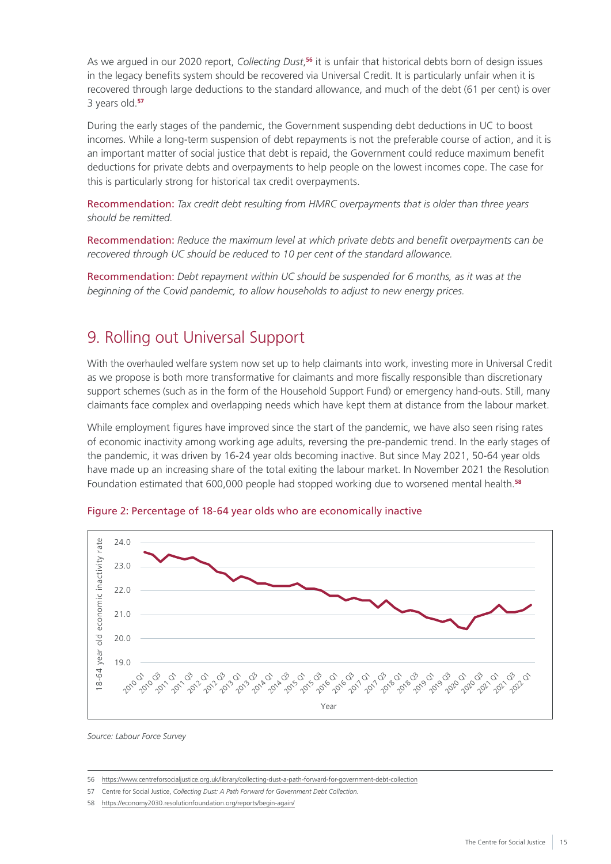<span id="page-16-0"></span>As we argued in our 2020 report, *Collecting Dust*,<sup>56</sup> it is unfair that historical debts born of design issues in the legacy benefits system should be recovered via Universal Credit. It is particularly unfair when it is recovered through large deductions to the standard allowance, and much of the debt (61 per cent) is over 3 years old.**<sup>57</sup>**

During the early stages of the pandemic, the Government suspending debt deductions in UC to boost incomes. While a long-term suspension of debt repayments is not the preferable course of action, and it is an important matter of social justice that debt is repaid, the Government could reduce maximum benefit deductions for private debts and overpayments to help people on the lowest incomes cope. The case for this is particularly strong for historical tax credit overpayments.

Recommendation: *Tax credit debt resulting from HMRC overpayments that is older than three years should be remitted.*

Recommendation: *Reduce the maximum level at which private debts and benefit overpayments can be recovered through UC should be reduced to 10 per cent of the standard allowance.*

Recommendation: *Debt repayment within UC should be suspended for 6 months, as it was at the beginning of the Covid pandemic, to allow households to adjust to new energy prices.*

#### 9. Rolling out Universal Support

With the overhauled welfare system now set up to help claimants into work, investing more in Universal Credit as we propose is both more transformative for claimants and more fiscally responsible than discretionary support schemes (such as in the form of the Household Support Fund) or emergency hand-outs. Still, many claimants face complex and overlapping needs which have kept them at distance from the labour market.

While employment figures have improved since the start of the pandemic, we have also seen rising rates of economic inactivity among working age adults, reversing the pre-pandemic trend. In the early stages of the pandemic, it was driven by 16-24 year olds becoming inactive. But since May 2021, 50-64 year olds have made up an increasing share of the total exiting the labour market. In November 2021 the Resolution Foundation estimated that 600,000 people had stopped working due to worsened mental health.**<sup>58</sup>**





*Source: Labour Force Survey*

<sup>56</sup> <https://www.centreforsocialjustice.org.uk/library/collecting-dust-a-path-forward-for-government-debt-collection>

<sup>57</sup> Centre for Social Justice, *[Collecting Dust: A Path Forward for Government Debt Collection.](https://www.centreforsocialjustice.org.uk/wp-content/uploads/2020/04/CSJJ8154-Debt-Report-INTS-200424.pdf)*

<sup>58</sup> <https://economy2030.resolutionfoundation.org/reports/begin-again/>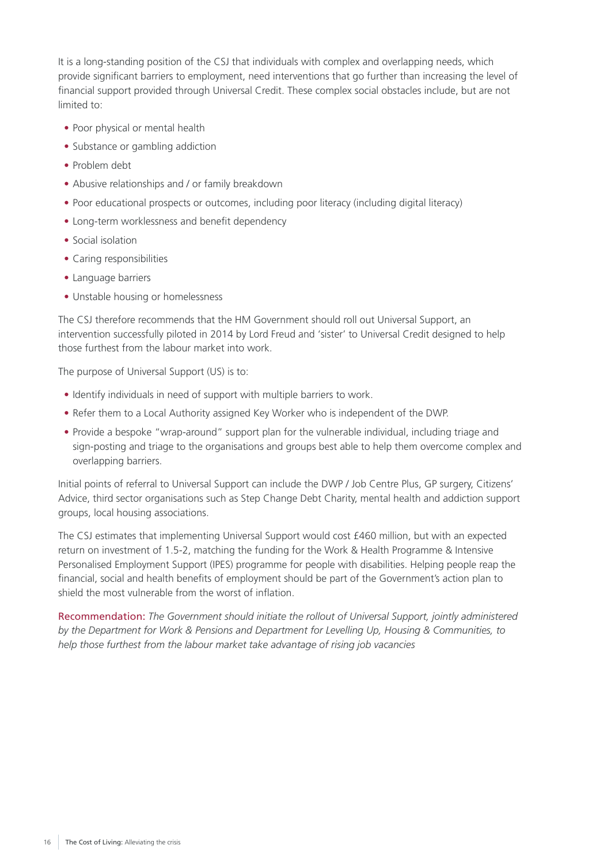It is a long-standing position of the CSJ that individuals with complex and overlapping needs, which provide significant barriers to employment, need interventions that go further than increasing the level of financial support provided through Universal Credit. These complex social obstacles include, but are not limited to:

- Poor physical or mental health
- Substance or gambling addiction
- Problem debt
- Abusive relationships and / or family breakdown
- Poor educational prospects or outcomes, including poor literacy (including digital literacy)
- Long-term worklessness and benefit dependency
- Social isolation
- Caring responsibilities
- Language barriers
- Unstable housing or homelessness

The CSJ therefore recommends that the HM Government should roll out Universal Support, an intervention successfully piloted in 2014 by Lord Freud and 'sister' to Universal Credit designed to help those furthest from the labour market into work.

The purpose of Universal Support (US) is to:

- Identify individuals in need of support with multiple barriers to work.
- Refer them to a Local Authority assigned Key Worker who is independent of the DWP.
- Provide a bespoke "wrap-around" support plan for the vulnerable individual, including triage and sign-posting and triage to the organisations and groups best able to help them overcome complex and overlapping barriers.

Initial points of referral to Universal Support can include the DWP / Job Centre Plus, GP surgery, Citizens' Advice, third sector organisations such as Step Change Debt Charity, mental health and addiction support groups, local housing associations.

The CSJ estimates that implementing Universal Support would cost £460 million, but with an expected return on investment of 1.5-2, matching the funding for the Work & Health Programme & Intensive Personalised Employment Support (IPES) programme for people with disabilities. Helping people reap the financial, social and health benefits of employment should be part of the Government's action plan to shield the most vulnerable from the worst of inflation.

Recommendation: *The Government should initiate the rollout of Universal Support, jointly administered by the Department for Work & Pensions and Department for Levelling Up, Housing & Communities, to help those furthest from the labour market take advantage of rising job vacancies*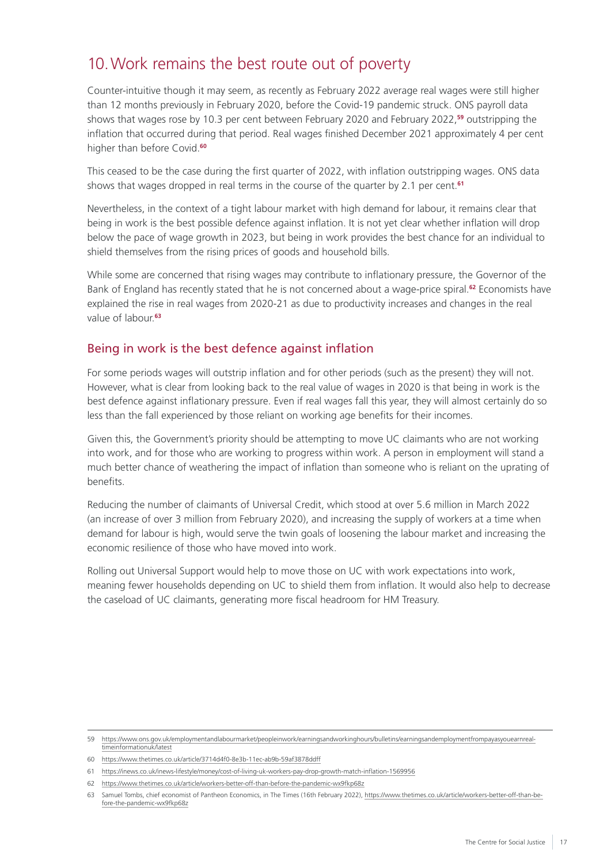## <span id="page-18-0"></span>10.Work remains the best route out of poverty

Counter-intuitive though it may seem, as recently as February 2022 average real wages were still higher than 12 months previously in February 2020, before the Covid-19 pandemic struck. ONS payroll data shows that wages rose by 10.3 per cent between February 2020 and February 2022,**<sup>59</sup>** outstripping the inflation that occurred during that period. Real wages finished December 2021 approximately 4 per cent higher than before Covid.**<sup>60</sup>**

This ceased to be the case during the first quarter of 2022, with inflation outstripping wages. ONS data shows that wages dropped in real terms in the course of the quarter by 2.1 per cent.**<sup>61</sup>**

Nevertheless, in the context of a tight labour market with high demand for labour, it remains clear that being in work is the best possible defence against inflation. It is not yet clear whether inflation will drop below the pace of wage growth in 2023, but being in work provides the best chance for an individual to shield themselves from the rising prices of goods and household bills.

While some are concerned that rising wages may contribute to inflationary pressure, the Governor of the Bank of England has recently stated that he is not concerned about a wage-price spiral.**<sup>62</sup>** Economists have explained the rise in real wages from 2020-21 as due to productivity increases and changes in the real value of labour.**<sup>63</sup>**

#### Being in work is the best defence against inflation

For some periods wages will outstrip inflation and for other periods (such as the present) they will not. However, what is clear from looking back to the real value of wages in 2020 is that being in work is the best defence against inflationary pressure. Even if real wages fall this year, they will almost certainly do so less than the fall experienced by those reliant on working age benefits for their incomes.

Given this, the Government's priority should be attempting to move UC claimants who are not working into work, and for those who are working to progress within work. A person in employment will stand a much better chance of weathering the impact of inflation than someone who is reliant on the uprating of benefits.

Reducing the number of claimants of Universal Credit, which stood at over 5.6 million in March 2022 (an increase of over 3 million from February 2020), and increasing the supply of workers at a time when demand for labour is high, would serve the twin goals of loosening the labour market and increasing the economic resilience of those who have moved into work.

Rolling out Universal Support would help to move those on UC with work expectations into work, meaning fewer households depending on UC to shield them from inflation. It would also help to decrease the caseload of UC claimants, generating more fiscal headroom for HM Treasury.

<sup>59</sup> [https://www.ons.gov.uk/employmentandlabourmarket/peopleinwork/earningsandworkinghours/bulletins/earningsandemploymentfrompayasyouearnreal](https://www.ons.gov.uk/employmentandlabourmarket/peopleinwork/earningsandworkinghours/bulletins/earningsandemploymentfrompayasyouearnrealtimeinformationuk/latest)[timeinformationuk/latest](https://www.ons.gov.uk/employmentandlabourmarket/peopleinwork/earningsandworkinghours/bulletins/earningsandemploymentfrompayasyouearnrealtimeinformationuk/latest)

<sup>60</sup> <https://www.thetimes.co.uk/article/3714d4f0-8e3b-11ec-ab9b-59af3878ddff>

<sup>61</sup> <https://inews.co.uk/inews-lifestyle/money/cost-of-living-uk-workers-pay-drop-growth-match-inflation-1569956>

<sup>62</sup> <https://www.thetimes.co.uk/article/workers-better-off-than-before-the-pandemic-wx9fkp68z>

<sup>63</sup> Samuel Tombs, chief economist of Pantheon Economics, in The Times (16th February 2022), [https://www.thetimes.co.uk/article/workers-better-off-than-be](https://www.thetimes.co.uk/article/workers-better-off-than-before-the-pandemic-wx9fkp68z)[fore-the-pandemic-wx9fkp68z](https://www.thetimes.co.uk/article/workers-better-off-than-before-the-pandemic-wx9fkp68z)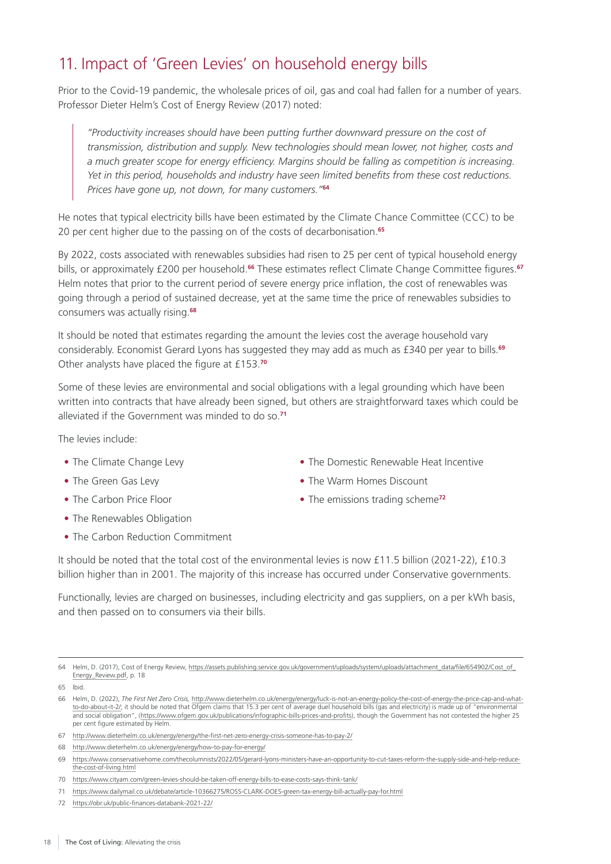## <span id="page-19-0"></span>11. Impact of 'Green Levies' on household energy bills

Prior to the Covid-19 pandemic, the wholesale prices of oil, gas and coal had fallen for a number of years. Professor Dieter Helm's Cost of Energy Review (2017) noted:

*"Productivity increases should have been putting further downward pressure on the cost of transmission, distribution and supply. New technologies should mean lower, not higher, costs and a much greater scope for energy efficiency. Margins should be falling as competition is increasing. Yet in this period, households and industry have seen limited benefits from these cost reductions. Prices have gone up, not down, for many customers."***<sup>64</sup>**

He notes that typical electricity bills have been estimated by the Climate Chance Committee (CCC) to be 20 per cent higher due to the passing on of the costs of decarbonisation.**<sup>65</sup>**

By 2022, costs associated with renewables subsidies had risen to 25 per cent of typical household energy bills, or approximately £200 per household.**<sup>66</sup>** These estimates reflect Climate Change Committee figures.**<sup>67</sup>** Helm notes that prior to the current period of severe energy price inflation, the cost of renewables was going through a period of sustained decrease, yet at the same time the price of renewables subsidies to consumers was actually rising.**<sup>68</sup>**

It should be noted that estimates regarding the amount the levies cost the average household vary considerably. Economist Gerard Lyons has suggested they may add as much as £340 per year to bills.**<sup>69</sup>** Other analysts have placed the figure at £153.**<sup>70</sup>**

Some of these levies are environmental and social obligations with a legal grounding which have been written into contracts that have already been signed, but others are straightforward taxes which could be alleviated if the Government was minded to do so.**<sup>71</sup>**

The levies include:

- The Climate Change Levy
- The Green Gas Levy
- The Carbon Price Floor
- The Renewables Obligation
- The Carbon Reduction Commitment
- The Domestic Renewable Heat Incentive
- The Warm Homes Discount
- The emissions trading scheme**<sup>72</sup>**

and then passed on to consumers via their bills.

Functionally, levies are charged on businesses, including electricity and gas suppliers, on a per kWh basis,

It should be noted that the total cost of the environmental levies is now £11.5 billion (2021-22), £10.3 billion higher than in 2001. The majority of this increase has occurred under Conservative governments.

<sup>64</sup> Helm, D. (2017), Cost of Energy Review, [https://assets.publishing.service.gov.uk/government/uploads/system/uploads/attachment\\_data/file/654902/Cost\\_of\\_](https://assets.publishing.service.gov.uk/government/uploads/system/uploads/attachment_data/file/654902/Cost_of_Energy_Review.pdf) [Energy\\_Review.pdf](https://assets.publishing.service.gov.uk/government/uploads/system/uploads/attachment_data/file/654902/Cost_of_Energy_Review.pdf), p. 18

<sup>65</sup> Ibid.

<sup>66</sup> Helm, D. (2022), *The First Net Zero Crisis,* [http://www.dieterhelm.co.uk/energy/energy/luck-is-not-an-energy-policy-the-cost-of-energy-the-price-cap-and-what](http://www.dieterhelm.co.uk/energy/energy/luck-is-not-an-energy-policy-the-cost-of-energy-the-price-cap-and-what-to-do-about-it-2/)[to-do-about-it-2/;](http://www.dieterhelm.co.uk/energy/energy/luck-is-not-an-energy-policy-the-cost-of-energy-the-price-cap-and-what-to-do-about-it-2/) it should be noted that Ofgem claims that 15.3 per cent of average duel household bills (gas and electricity) is made up of "environmental and social obligation", ([https://www.ofgem.gov.uk/publications/infographic-bills-prices-and-profits\)](https://www.ofgem.gov.uk/publications/infographic-bills-prices-and-profits), though the Government has not contested the higher 25 per cent figure estimated by Helm.

<sup>67</sup> <http://www.dieterhelm.co.uk/energy/energy/the-first-net-zero-energy-crisis-someone-has-to-pay-2/>

<sup>68</sup> <http://www.dieterhelm.co.uk/energy/energy/how-to-pay-for-energy/>

<sup>69</sup> [https://www.conservativehome.com/thecolumnists/2022/05/gerard-lyons-ministers-have-an-opportunity-to-cut-taxes-reform-the-supply-side-and-help-reduce](https://www.conservativehome.com/thecolumnists/2022/05/gerard-lyons-ministers-have-an-opportunity-to-cut-taxes-reform-the-supply-side-and-help-reduce-the-cost-of-living.html)[the-cost-of-living.html](https://www.conservativehome.com/thecolumnists/2022/05/gerard-lyons-ministers-have-an-opportunity-to-cut-taxes-reform-the-supply-side-and-help-reduce-the-cost-of-living.html)

<sup>70</sup> <https://www.cityam.com/green-levies-should-be-taken-off-energy-bills-to-ease-costs-says-think-tank/>

<sup>71</sup> <https://www.dailymail.co.uk/debate/article-10366275/ROSS-CLARK-DOES-green-tax-energy-bill-actually-pay-for.html>

<sup>72</sup> <https://obr.uk/public-finances-databank-2021-22/>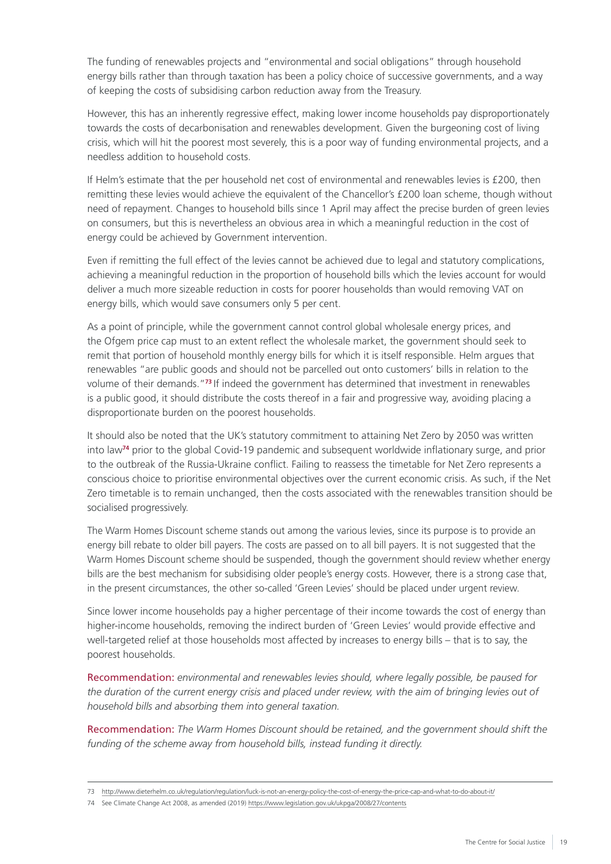The funding of renewables projects and "environmental and social obligations" through household energy bills rather than through taxation has been a policy choice of successive governments, and a way of keeping the costs of subsidising carbon reduction away from the Treasury.

However, this has an inherently regressive effect, making lower income households pay disproportionately towards the costs of decarbonisation and renewables development. Given the burgeoning cost of living crisis, which will hit the poorest most severely, this is a poor way of funding environmental projects, and a needless addition to household costs.

If Helm's estimate that the per household net cost of environmental and renewables levies is £200, then remitting these levies would achieve the equivalent of the Chancellor's £200 loan scheme, though without need of repayment. Changes to household bills since 1 April may affect the precise burden of green levies on consumers, but this is nevertheless an obvious area in which a meaningful reduction in the cost of energy could be achieved by Government intervention.

Even if remitting the full effect of the levies cannot be achieved due to legal and statutory complications, achieving a meaningful reduction in the proportion of household bills which the levies account for would deliver a much more sizeable reduction in costs for poorer households than would removing VAT on energy bills, which would save consumers only 5 per cent.

As a point of principle, while the government cannot control global wholesale energy prices, and the Ofgem price cap must to an extent reflect the wholesale market, the government should seek to remit that portion of household monthly energy bills for which it is itself responsible. Helm argues that renewables "are public goods and should not be parcelled out onto customers' bills in relation to the volume of their demands."**<sup>73</sup>**If indeed the government has determined that investment in renewables is a public good, it should distribute the costs thereof in a fair and progressive way, avoiding placing a disproportionate burden on the poorest households.

It should also be noted that the UK's statutory commitment to attaining Net Zero by 2050 was written into law**<sup>74</sup>** prior to the global Covid-19 pandemic and subsequent worldwide inflationary surge, and prior to the outbreak of the Russia-Ukraine conflict. Failing to reassess the timetable for Net Zero represents a conscious choice to prioritise environmental objectives over the current economic crisis. As such, if the Net Zero timetable is to remain unchanged, then the costs associated with the renewables transition should be socialised progressively.

The Warm Homes Discount scheme stands out among the various levies, since its purpose is to provide an energy bill rebate to older bill payers. The costs are passed on to all bill payers. It is not suggested that the Warm Homes Discount scheme should be suspended, though the government should review whether energy bills are the best mechanism for subsidising older people's energy costs. However, there is a strong case that, in the present circumstances, the other so-called 'Green Levies' should be placed under urgent review.

Since lower income households pay a higher percentage of their income towards the cost of energy than higher-income households, removing the indirect burden of 'Green Levies' would provide effective and well-targeted relief at those households most affected by increases to energy bills – that is to say, the poorest households.

Recommendation: *environmental and renewables levies should, where legally possible, be paused for the duration of the current energy crisis and placed under review, with the aim of bringing levies out of household bills and absorbing them into general taxation.*

Recommendation: *The Warm Homes Discount should be retained, and the government should shift the funding of the scheme away from household bills, instead funding it directly.*

<sup>73</sup> <http://www.dieterhelm.co.uk/regulation/regulation/luck-is-not-an-energy-policy-the-cost-of-energy-the-price-cap-and-what-to-do-about-it/>

<sup>74</sup> See Climate Change Act 2008, as amended (2019) <https://www.legislation.gov.uk/ukpga/2008/27/contents>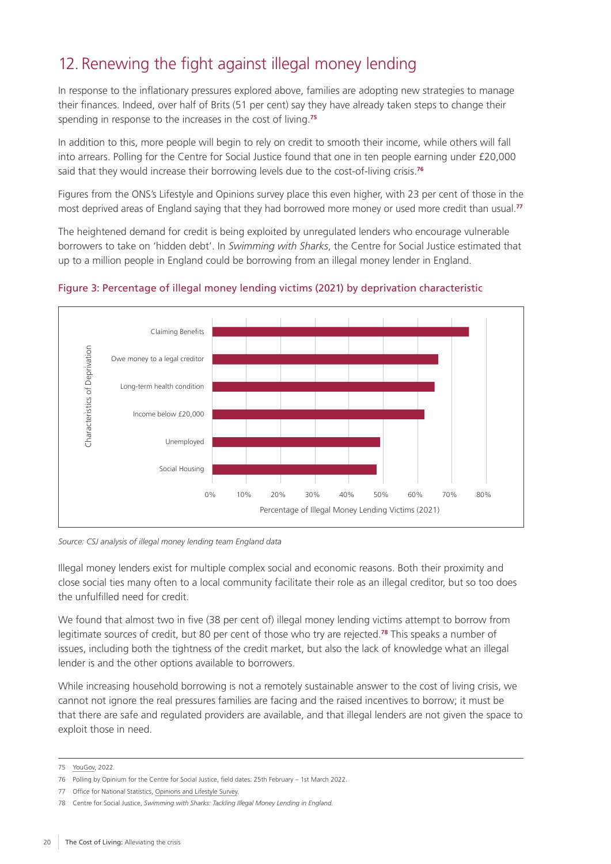## <span id="page-21-0"></span>12. Renewing the fight against illegal money lending

In response to the inflationary pressures explored above, families are adopting new strategies to manage their finances. Indeed, over half of Brits (51 per cent) say they have already taken steps to change their spending in response to the increases in the cost of living.**<sup>75</sup>**

In addition to this, more people will begin to rely on credit to smooth their income, while others will fall into arrears. Polling for the Centre for Social Justice found that one in ten people earning under £20,000 said that they would increase their borrowing levels due to the cost-of-living crisis.**<sup>76</sup>**

Figures from the ONS's Lifestyle and Opinions survey place this even higher, with 23 per cent of those in the most deprived areas of England saying that they had borrowed more money or used more credit than usual.**<sup>77</sup>**

The heightened demand for credit is being exploited by unregulated lenders who encourage vulnerable borrowers to take on 'hidden debt'. In *Swimming with Sharks*, the Centre for Social Justice estimated that up to a million people in England could be borrowing from an illegal money lender in England.



#### Figure 3: Percentage of illegal money lending victims (2021) by deprivation characteristic

*Source: CSJ analysis of illegal money lending team England data*

Illegal money lenders exist for multiple complex social and economic reasons. Both their proximity and close social ties many often to a local community facilitate their role as an illegal creditor, but so too does the unfulfilled need for credit.

We found that almost two in five (38 per cent of) illegal money lending victims attempt to borrow from legitimate sources of credit, but 80 per cent of those who try are rejected.**<sup>78</sup>** This speaks a number of issues, including both the tightness of the credit market, but also the lack of knowledge what an illegal lender is and the other options available to borrowers.

While increasing household borrowing is not a remotely sustainable answer to the cost of living crisis, we cannot not ignore the real pressures families are facing and the raised incentives to borrow; it must be that there are safe and regulated providers are available, and that illegal lenders are not given the space to exploit those in need.

<sup>75</sup> [YouGov](https://yougov.co.uk/topics/finance/survey-results/daily/2022/05/04/db479/2), 2022.

<sup>76</sup> Polling by Opinium for the Centre for Social Justice, field dates: 25th February – 1st March 2022.

<sup>77</sup> Office for National Statistics, [Opinions and Lifestyle Survey](https://www.ons.gov.uk/peoplepopulationandcommunity/personalandhouseholdfinances/expenditure/articles/therisingcostoflivinganditsimpactonindividualsingreatbritain/november2021tomarch2022).

<sup>78</sup> Centre for Social Justice, *[Swimming with Sharks: Tackling Illegal Money Lending in England.](https://www.centreforsocialjustice.org.uk/wp-content/uploads/2022/03/CSJ-Illegal-lending-paper.pdf)*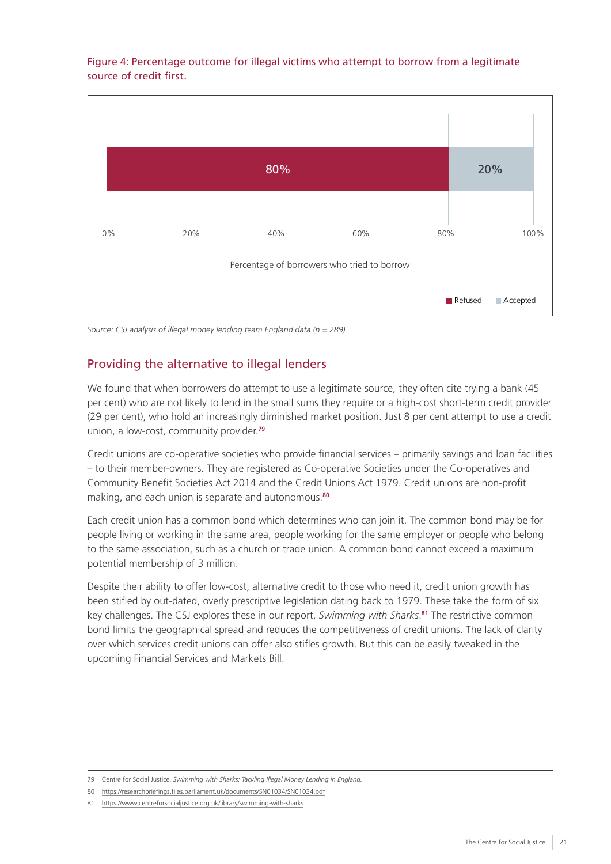#### Figure 4: Percentage outcome for illegal victims who attempt to borrow from a legitimate source of credit first.



*Source: CSJ analysis of illegal money lending team England data (n = 289)*

#### Providing the alternative to illegal lenders

We found that when borrowers do attempt to use a legitimate source, they often cite trying a bank (45 per cent) who are not likely to lend in the small sums they require or a high-cost short-term credit provider (29 per cent), who hold an increasingly diminished market position. Just 8 per cent attempt to use a credit union, a low-cost, community provider.**<sup>79</sup>**

Credit unions are co-operative societies who provide financial services – primarily savings and loan facilities – to their member-owners. They are registered as Co-operative Societies under the Co-operatives and Community Benefit Societies Act 2014 and the Credit Unions Act 1979. Credit unions are non-profit making, and each union is separate and autonomous.**<sup>80</sup>**

Each credit union has a common bond which determines who can join it. The common bond may be for people living or working in the same area, people working for the same employer or people who belong to the same association, such as a church or trade union. A common bond cannot exceed a maximum potential membership of 3 million.

Despite their ability to offer low-cost, alternative credit to those who need it, credit union growth has been stifled by out-dated, overly prescriptive legislation dating back to 1979. These take the form of six key challenges. The CSJ explores these in our report, *Swimming with Sharks*. **<sup>81</sup>** The restrictive common bond limits the geographical spread and reduces the competitiveness of credit unions. The lack of clarity over which services credit unions can offer also stifles growth. But this can be easily tweaked in the upcoming Financial Services and Markets Bill.

<sup>79</sup> Centre for Social Justice, *[Swimming with Sharks: Tackling Illegal Money Lending in England.](https://www.centreforsocialjustice.org.uk/wp-content/uploads/2022/03/CSJ-Illegal-lending-paper.pdf)*

<sup>80</sup> <https://researchbriefings.files.parliament.uk/documents/SN01034/SN01034.pdf>

<sup>81</sup> <https://www.centreforsocialjustice.org.uk/library/swimming-with-sharks>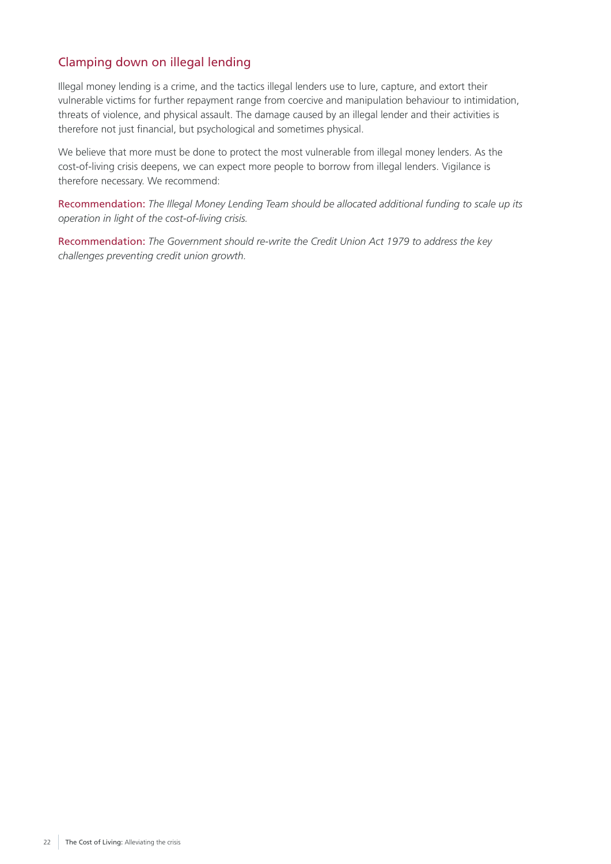#### Clamping down on illegal lending

Illegal money lending is a crime, and the tactics illegal lenders use to lure, capture, and extort their vulnerable victims for further repayment range from coercive and manipulation behaviour to intimidation, threats of violence, and physical assault. The damage caused by an illegal lender and their activities is therefore not just financial, but psychological and sometimes physical.

We believe that more must be done to protect the most vulnerable from illegal money lenders. As the cost-of-living crisis deepens, we can expect more people to borrow from illegal lenders. Vigilance is therefore necessary. We recommend:

Recommendation: *The Illegal Money Lending Team should be allocated additional funding to scale up its operation in light of the cost-of-living crisis.*

Recommendation: *The Government should re-write the Credit Union Act 1979 to address the key challenges preventing credit union growth.*